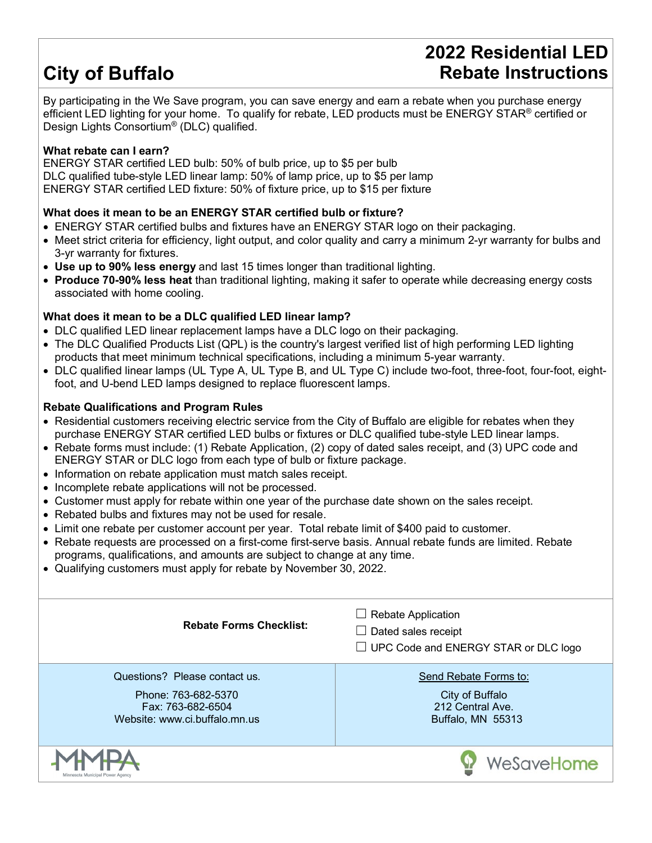## **City of Buffalo**

### **2022 Residential LED Rebate Instructions**

By participating in the We Save program, you can save energy and earn a rebate when you purchase energy efficient LED lighting for your home. To qualify for rebate, LED products must be ENERGY STAR® certified or Design Lights Consortium® (DLC) qualified.

#### **What rebate can I earn?**

ENERGY STAR certified LED bulb: 50% of bulb price, up to \$5 per bulb DLC qualified tube-style LED linear lamp: 50% of lamp price, up to \$5 per lamp ENERGY STAR certified LED fixture: 50% of fixture price, up to \$15 per fixture

#### **What does it mean to be an ENERGY STAR certified bulb or fixture?**

- ENERGY STAR certified bulbs and fixtures have an ENERGY STAR logo on their packaging.
- Meet strict criteria for efficiency, light output, and color quality and carry a minimum 2-yr warranty for bulbs and 3-yr warranty for fixtures.
- **Use up to 90% less energy** and last 15 times longer than traditional lighting.
- **Produce 70-90% less heat** than traditional lighting, making it safer to operate while decreasing energy costs associated with home cooling.

#### **What does it mean to be a DLC qualified LED linear lamp?**

- DLC qualified LED linear replacement lamps have a DLC logo on their packaging.
- The DLC Qualified Products List (QPL) is the country's largest verified list of high performing LED lighting products that meet minimum technical specifications, including a minimum 5-year warranty.
- DLC qualified linear lamps (UL Type A, UL Type B, and UL Type C) include two-foot, three-foot, four-foot, eightfoot, and U-bend LED lamps designed to replace fluorescent lamps.

#### **Rebate Qualifications and Program Rules**

- Residential customers receiving electric service from the City of Buffalo are eligible for rebates when they purchase ENERGY STAR certified LED bulbs or fixtures or DLC qualified tube-style LED linear lamps.
- Rebate forms must include: (1) Rebate Application, (2) copy of dated sales receipt, and (3) UPC code and ENERGY STAR or DLC logo from each type of bulb or fixture package.
- Information on rebate application must match sales receipt.
- Incomplete rebate applications will not be processed.
- Customer must apply for rebate within one year of the purchase date shown on the sales receipt.
- Rebated bulbs and fixtures may not be used for resale.
- Limit one rebate per customer account per year. Total rebate limit of \$400 paid to customer.
- Rebate requests are processed on a first-come first-serve basis. Annual rebate funds are limited. Rebate programs, qualifications, and amounts are subject to change at any time.
- Qualifying customers must apply for rebate by November 30, 2022.

| <b>Rebate Forms Checklist:</b>                                                                             | <b>Rebate Application</b><br>$\perp$<br>Dated sales receipt<br>$\blacksquare$<br>$\Box$ UPC Code and ENERGY STAR or DLC logo |
|------------------------------------------------------------------------------------------------------------|------------------------------------------------------------------------------------------------------------------------------|
| Questions? Please contact us.<br>Phone: 763-682-5370<br>Fax: 763-682-6504<br>Website: www.ci.buffalo.mn.us | Send Rebate Forms to:<br>City of Buffalo<br>212 Central Ave.<br>Buffalo, MN 55313                                            |
| Minnesota Municipal Power Agenc                                                                            | WeSaveHome                                                                                                                   |